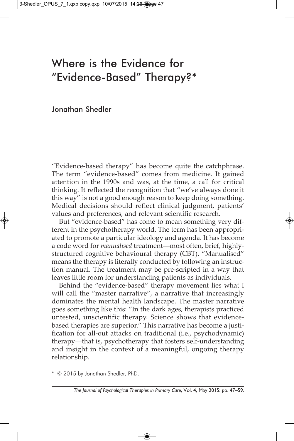# Where is the Evidence for "Evidence-Based" Therapy?\*

Jonathan Shedler

"Evidence-based therapy" has become quite the catchphrase. The term "evidence-based" comes from medicine. It gained attention in the 1990s and was, at the time, a call for critical thinking. It reflected the recognition that "we've always done it this way" is not a good enough reason to keep doing something. Medical decisions should reflect clinical judgment, patients' values and preferences, and relevant scientific research.

But "evidence-based" has come to mean something very different in the psychotherapy world. The term has been appropriated to promote a particular ideology and agenda. It has become a code word for *manualised* treatment—most often, brief, highlystructured cognitive behavioural therapy (CBT). "Manualised" means the therapy is literally conducted by following an instruction manual. The treatment may be pre-scripted in a way that leaves little room for understanding patients as individuals.

Behind the "evidence-based" therapy movement lies what I will call the "master narrative", a narrative that increasingly dominates the mental health landscape. The master narrative goes something like this: "In the dark ages, therapists practiced untested, unscientific therapy. Science shows that evidencebased therapies are superior." This narrative has become a justification for all-out attacks on traditional (i.e., psychodynamic) therapy—that is, psychotherapy that fosters self-understanding and insight in the context of a meaningful, ongoing therapy relationship.

\* © 2015 by Jonathan Shedler, PhD.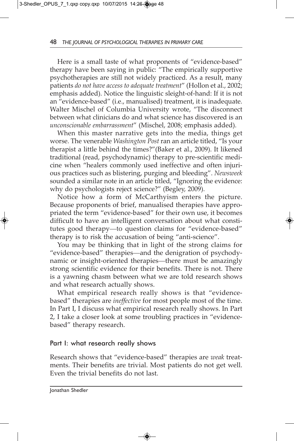Here is a small taste of what proponents of "evidence-based" therapy have been saying in public: "The empirically supportive psychotherapies are still not widely practiced. As a result, many patients *do not have access to adequate treatment*" (Hollon et al., 2002; emphasis added). Notice the linguistic sleight-of-hand: If it is not an "evidence-based" (i.e., manualised) treatment, it is inadequate. Walter Mischel of Columbia University wrote, "The disconnect between what clinicians do and what science has discovered is an *unconscionable embarrassment*" (Mischel, 2008; emphasis added).

When this master narrative gets into the media, things get worse. The venerable *Washington Post* ran an article titled, "Is your therapist a little behind the times?"(Baker et al., 2009). It likened traditional (read, psychodynamic) therapy to pre-scientific medicine when "healers commonly used ineffective and often injurious practices such as blistering, purging and bleeding". *Newsweek* sounded a similar note in an article titled, "Ignoring the evidence: why do psychologists reject science?" (Begley, 2009).

Notice how a form of McCarthyism enters the picture. Because proponents of brief, manualised therapies have appropriated the term "evidence-based" for their own use, it becomes difficult to have an intelligent conversation about what constitutes good therapy—to question claims for "evidence-based" therapy is to risk the accusation of being "anti-science".

You may be thinking that in light of the strong claims for "evidence-based" therapies—and the denigration of psychodynamic or insight-oriented therapies—there must be amazingly strong scientific evidence for their benefits. There is not. There is a yawning chasm between what we are told research shows and what research actually shows.

What empirical research really shows is that "evidencebased" therapies are *ineffective* for most people most of the time. In Part I, I discuss what empirical research really shows. In Part 2, I take a closer look at some troubling practices in "evidencebased" therapy research.

## Part I: what research really shows

Research shows that "evidence-based" therapies are *weak* treatments. Their benefits are trivial. Most patients do not get well. Even the trivial benefits do not last.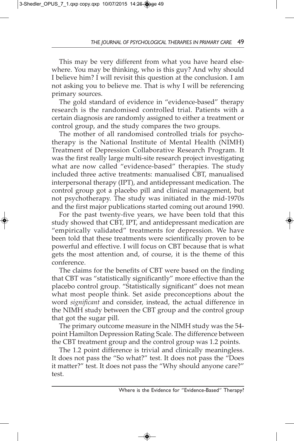This may be very different from what you have heard elsewhere. You may be thinking, who is this guy? And why should I believe him? I will revisit this question at the conclusion. I am not asking you to believe me. That is why I will be referencing primary sources.

The gold standard of evidence in "evidence-based" therapy research is the randomised controlled trial. Patients with a certain diagnosis are randomly assigned to either a treatment or control group, and the study compares the two groups.

The mother of all randomised controlled trials for psychotherapy is the National Institute of Mental Health (NIMH) Treatment of Depression Collaborative Research Program. It was the first really large multi-site research project investigating what are now called "evidence-based" therapies. The study included three active treatments: manualised CBT, manualised interpersonal therapy (IPT), and antidepressant medication. The control group got a placebo pill and clinical management, but not psychotherapy. The study was initiated in the mid-1970s and the first major publications started coming out around 1990.

For the past twenty-five years, we have been told that this study showed that CBT, IPT, and antidepressant medication are "empirically validated" treatments for depression. We have been told that these treatments were scientifically proven to be powerful and effective. I will focus on CBT because that is what gets the most attention and, of course, it is the theme of this conference.

The claims for the benefits of CBT were based on the finding that CBT was "statistically significantly" more effective than the placebo control group. "Statistically significant" does not mean what most people think. Set aside preconceptions about the word *significant* and consider, instead, the actual difference in the NIMH study between the CBT group and the control group that got the sugar pill.

The primary outcome measure in the NIMH study was the 54 point Hamilton Depression Rating Scale. The difference between the CBT treatment group and the control group was 1.2 points.

The 1.2 point difference is trivial and clinically meaningless. It does not pass the "So what?" test. It does not pass the "Does it matter?" test. It does not pass the "Why should anyone care?" test.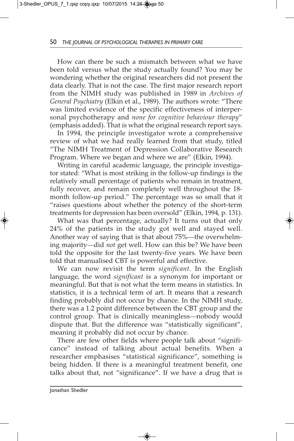How can there be such a mismatch between what we have been told versus what the study actually found? You may be wondering whether the original researchers did not present the data clearly. That is not the case. The first major research report from the NIMH study was published in 1989 in *Archives of General Psychiatry* (Elkin et al., 1989). The authors wrote: "There was limited evidence of the specific effectiveness of interpersonal psychotherapy and *none for cognitive behaviour therapy*" (emphasis added). That is what the original research report says.

In 1994, the principle investigator wrote a comprehensive review of what we had really learned from that study, titled "The NIMH Treatment of Depression Collaborative Research Program. Where we began and where we are" (Elkin, 1994).

Writing in careful academic language, the principle investigator stated: "What is most striking in the follow-up findings is the relatively small percentage of patients who remain in treatment, fully recover, and remain completely well throughout the 18 month follow-up period." The percentage was so small that it "raises questions about whether the potency of the short-term treatments for depression has been oversold" (Elkin, 1994, p. 131).

What was that percentage, actually? It turns out that only 24% of the patients in the study got well and stayed well. Another way of saying that is that about 75%—the overwhelming majority—did *not* get well. How can this be? We have been told the opposite for the last twenty-five years. We have been told that manualised CBT is powerful and effective.

We can now revisit the term *significant*. In the English language, the word *significant* is a synonym for important or meaningful. But that is not what the term means in statistics. In statistics, it is a technical term of art. It means that a research finding probably did not occur by chance. In the NIMH study, there was a 1.2 point difference between the CBT group and the control group. That is clinically meaningless—nobody would dispute that. But the difference was "statistically significant", meaning it probably did not occur by chance.

There are few other fields where people talk about "significance" instead of talking about actual benefits. When a researcher emphasises "statistical significance", something is being hidden. If there is a meaningful treatment benefit, one talks about that, not "significance". If we have a drug that is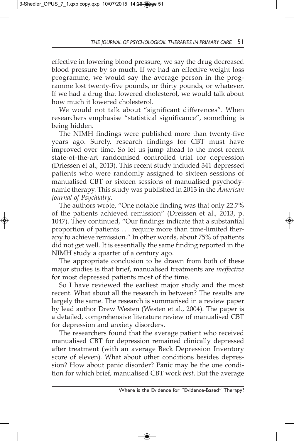effective in lowering blood pressure, we say the drug decreased blood pressure by so much. If we had an effective weight loss programme, we would say the average person in the programme lost twenty-five pounds, or thirty pounds, or whatever. If we had a drug that lowered cholesterol, we would talk about how much it lowered cholesterol.

We would not talk about "significant differences". When researchers emphasise "statistical significance", something is being hidden.

The NIMH findings were published more than twenty-five years ago. Surely, research findings for CBT must have improved over time. So let us jump ahead to the most recent state-of-the-art randomised controlled trial for depression (Driessen et al., 2013). This recent study included 341 depressed patients who were randomly assigned to sixteen sessions of manualised CBT or sixteen sessions of manualised psychodynamic therapy. This study was published in 2013 in the *American Journal of Psychiatry*.

The authors wrote, "One notable finding was that only 22.7% of the patients achieved remission" (Dreissen et al., 2013, p. 1047). They continued, "Our findings indicate that a substantial proportion of patients . . . require more than time-limited therapy to achieve remission." In other words, about 75% of patients did not get well. It is essentially the same finding reported in the NIMH study a quarter of a century ago.

The appropriate conclusion to be drawn from both of these major studies is that brief, manualised treatments are *ineffective* for most depressed patients most of the time.

So I have reviewed the earliest major study and the most recent. What about all the research in between? The results are largely the same. The research is summarised in a review paper by lead author Drew Westen (Westen et al., 2004). The paper is a detailed, comprehensive literature review of manualised CBT for depression and anxiety disorders.

The researchers found that the average patient who received manualised CBT for depression remained clinically depressed after treatment (with an average Beck Depression Inventory score of eleven). What about other conditions besides depression? How about panic disorder? Panic may be the one condition for which brief, manualised CBT work *best*. But the average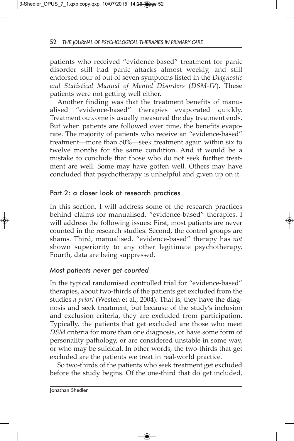patients who received "evidence-based" treatment for panic disorder still had panic attacks almost weekly, and still endorsed four of out of seven symptoms listed in the *Diagnostic and Statistical Manual of Mental Disorders* (*DSM-IV*). These patients were not getting well either.

Another finding was that the treatment benefits of manualised "evidence-based" therapies evaporated quickly. Treatment outcome is usually measured the day treatment ends. But when patients are followed over time, the benefits evaporate. The majority of patients who receive an "evidence-based" treatment—more than 50%—seek treatment again within six to twelve months for the same condition. And it would be a mistake to conclude that those who do not seek further treatment are well. Some may have gotten well. Others may have concluded that psychotherapy is unhelpful and given up on it.

## Part 2: a closer look at research practices

In this section, I will address some of the research practices behind claims for manualised, "evidence-based" therapies. I will address the following issues: First, most patients are never counted in the research studies. Second, the control groups are shams. Third, manualised, "evidence-based" therapy has *not* shown superiority to any other legitimate psychotherapy. Fourth, data are being suppressed.

#### *Most patients never get counted*

In the typical randomised controlled trial for "evidence-based" therapies, about two-thirds of the patients get excluded from the studies *a priori* (Westen et al., 2004). That is, they have the diagnosis and seek treatment, but because of the study's inclusion and exclusion criteria, they are excluded from participation. Typically, the patients that get excluded are those who meet *DSM* criteria for more than one diagnosis, or have some form of personality pathology, or are considered unstable in some way, or who may be suicidal. In other words, the two-thirds that get excluded are the patients we treat in real-world practice.

So two-thirds of the patients who seek treatment get excluded before the study begins. Of the one-third that do get included,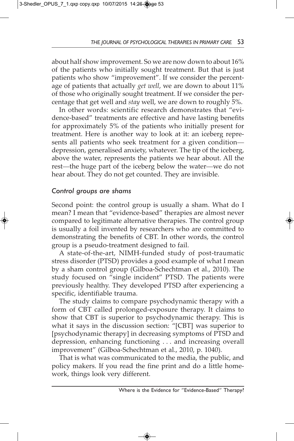about half show improvement. So we are now down to about 16% of the patients who initially sought treatment. But that is just patients who show "improvement". If we consider the percentage of patients that actually *get well*, we are down to about 11% of those who originally sought treatment. If we consider the percentage that get well and *stay* well, we are down to roughly 5%.

In other words: scientific research demonstrates that "evidence-based" treatments are effective and have lasting benefits for approximately 5% of the patients who initially present for treatment. Here is another way to look at it: an iceberg represents all patients who seek treatment for a given condition depression, generalised anxiety, whatever. The tip of the iceberg, above the water, represents the patients we hear about. All the rest—the huge part of the iceberg below the water—we do not hear about. They do not get counted. They are invisible.

## *Control groups are shams*

Second point: the control group is usually a sham. What do I mean? I mean that "evidence-based" therapies are almost never compared to legitimate alternative therapies. The control group is usually a foil invented by researchers who are committed to demonstrating the benefits of CBT. In other words, the control group is a pseudo-treatment designed to fail.

A state-of-the-art, NIMH-funded study of post-traumatic stress disorder (PTSD) provides a good example of what I mean by a sham control group (Gilboa-Schechtman et al., 2010). The study focused on "single incident" PTSD. The patients were previously healthy. They developed PTSD after experiencing a specific, identifiable trauma.

The study claims to compare psychodynamic therapy with a form of CBT called prolonged-exposure therapy. It claims to show that CBT is superior to psychodynamic therapy. This is what it says in the discussion section: "[CBT] was superior to [psychodynamic therapy] in decreasing symptoms of PTSD and depression, enhancing functioning . . . and increasing overall improvement" (Gilboa-Schechtman et al., 2010, p. 1040).

That is what was communicated to the media, the public, and policy makers. If you read the fine print and do a little homework, things look very different.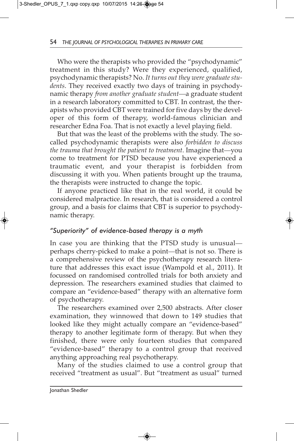Who were the therapists who provided the "psychodynamic" treatment in this study? Were they experienced, qualified, psychodynamic therapists? No. *It turns out they were graduate students*. They received exactly two days of training in psychodynamic therapy *from another graduate student*—a graduate student in a research laboratory committed to CBT. In contrast, the therapists who provided CBT were trained for five days by the developer of this form of therapy, world-famous clinician and researcher Edna Foa. That is not exactly a level playing field.

But that was the least of the problems with the study. The socalled psychodynamic therapists were also *forbidden to discuss the trauma that brought the patient to treatment*. Imagine that—you come to treatment for PTSD because you have experienced a traumatic event, and your therapist is forbidden from discussing it with you. When patients brought up the trauma, the therapists were instructed to change the topic.

If anyone practiced like that in the real world, it could be considered malpractice. In research, that is considered a control group, and a basis for claims that CBT is superior to psychodynamic therapy.

## *"Superiority" of evidence-based therapy is a myth*

In case you are thinking that the PTSD study is unusual perhaps cherry-picked to make a point—that is not so. There is a comprehensive review of the psychotherapy research literature that addresses this exact issue (Wampold et al., 2011). It focussed on randomised controlled trials for both anxiety and depression. The researchers examined studies that claimed to compare an "evidence-based" therapy with an alternative form of psychotherapy.

The researchers examined over 2,500 abstracts. After closer examination, they winnowed that down to 149 studies that looked like they might actually compare an "evidence-based" therapy to another legitimate form of therapy. But when they finished, there were only fourteen studies that compared "evidence-based" therapy to a control group that received anything approaching real psychotherapy.

Many of the studies claimed to use a control group that received "treatment as usual". But "treatment as usual" turned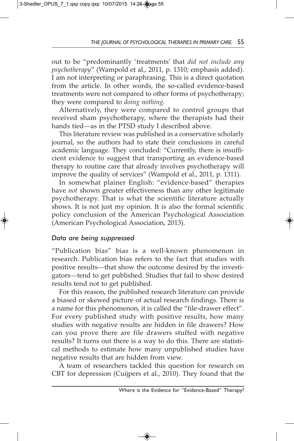out to be "predominantly 'treatments' that *did not include any psychotherapy*" (Wampold et al., 2011, p. 1310; emphasis added). I am not interpreting or paraphrasing. This is a direct quotation from the article. In other words, the so-called evidence-based treatments were not compared to other forms of psychotherapy; they were compared to *doing nothing*.

Alternatively, they were compared to control groups that received sham psychotherapy, where the therapists had their hands tied—as in the PTSD study I described above.

This literature review was published in a conservative scholarly journal, so the authors had to state their conclusions in careful academic language. They concluded: "Currently, there is insufficient evidence to suggest that transporting an evidence-based therapy to routine care that already involves psychotherapy will improve the quality of services" (Wampold et al., 2011, p. 1311).

In somewhat plainer English: "evidence-based" therapies have *not* shown greater effectiveness than any other legitimate psychotherapy. That is what the scientific literature actually shows. It is not just my opinion. It is also the formal scientific policy conclusion of the American Psychological Association (American Psychological Association, 2013).

## *Data are being suppressed*

"Publication bias" bias is a well-known phenomenon in research. Publication bias refers to the fact that studies with positive results—that show the outcome desired by the investigators—tend to get published. Studies that fail to show desired results tend not to get published.

For this reason, the published research literature can provide a biased or skewed picture of actual research findings. There is a name for this phenomenon, it is called the "file-drawer effect". For every published study with positive results, how many studies with negative results are hidden in file drawers? How can you prove there are file drawers stuffed with negative results? It turns out there is a way to do this. There are statistical methods to estimate how many unpublished studies have negative results that are hidden from view.

A team of researchers tackled this question for research on CBT for depression (Cuijpers et al., 2010). They found that the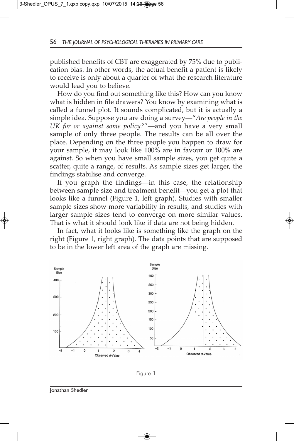published benefits of CBT are exaggerated by 75% due to publication bias. In other words, the actual benefit a patient is likely to receive is only about a quarter of what the research literature would lead you to believe.

How do you find out something like this? How can you know what is hidden in file drawers? You know by examining what is called a funnel plot. It sounds complicated, but it is actually a simple idea. Suppose you are doing a survey—"*Are people in the UK for or against some policy?*"—and you have a very small sample of only three people. The results can be all over the place. Depending on the three people you happen to draw for your sample, it may look like 100% are in favour or 100% are against. So when you have small sample sizes, you get quite a scatter, quite a range, of results. As sample sizes get larger, the findings stabilise and converge.

If you graph the findings—in this case, the relationship between sample size and treatment benefit—you get a plot that looks like a funnel (Figure 1, left graph). Studies with smaller sample sizes show more variability in results, and studies with larger sample sizes tend to converge on more similar values. That is what it should look like if data are not being hidden.

In fact, what it looks like is something like the graph on the right (Figure 1, right graph). The data points that are supposed to be in the lower left area of the graph are missing.



Figure 1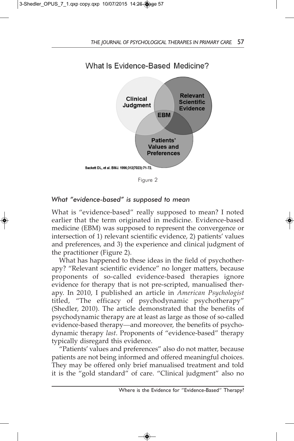

## What Is Evidence-Based Medicine?

Figure 2

## *What "evidence-based" is supposed to mean*

What is "evidence-based" really supposed to mean? I noted earlier that the term originated in medicine. Evidence-based medicine (EBM) was supposed to represent the convergence or intersection of 1) relevant scientific evidence, 2) patients' values and preferences, and 3) the experience and clinical judgment of the practitioner (Figure 2).

What has happened to these ideas in the field of psychotherapy? "Relevant scientific evidence" no longer matters, because proponents of so-called evidence-based therapies ignore evidence for therapy that is not pre-scripted, manualised therapy. In 2010, I published an article in *American Psychologist* titled, "The efficacy of psychodynamic psychotherapy" (Shedler, 2010). The article demonstrated that the benefits of psychodynamic therapy are at least as large as those of so-called evidence-based therapy—and moreover, the benefits of psychodynamic therapy *last*. Proponents of "evidence-based" therapy typically disregard this evidence.

"Patients' values and preferences" also do not matter, because patients are not being informed and offered meaningful choices. They may be offered only brief manualised treatment and told it is the "gold standard" of care. "Clinical judgment" also no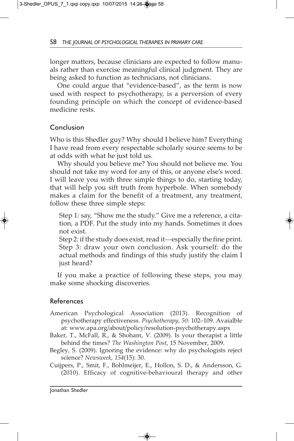longer matters, because clinicians are expected to follow manuals rather than exercise meaningful clinical judgment. They are being asked to function as technicians, not clinicians.

One could argue that "evidence-based", as the term is now used with respect to psychotherapy, is a perversion of every founding principle on which the concept of evidence-based medicine rests.

#### Conclusion

Who is this Shedler guy? Why should I believe him? Everything I have read from every respectable scholarly source seems to be at odds with what he just told us.

Why should you believe me? You should not believe me. You should not take my word for any of this, or anyone else's word. I will leave you with three simple things to do, starting today, that will help you sift truth from hyperbole. When somebody makes a claim for the benefit of a treatment, any treatment, follow these three simple steps:

Step 1: say, "Show me the study." Give me a reference, a citation, a PDF. Put the study into my hands. Sometimes it does not exist.

Step 2: if the study does exist, read it—especially the fine print. Step 3: draw your own conclusion. Ask yourself: do the actual methods and findings of this study justify the claim I just heard?

If you make a practice of following these steps, you may make some shocking discoveries.

#### References

- American Psychological Association (2013). Recognition psychotherapy effectiveness. *Psychotherapy*, *50*: 102–109. Avaialble at: www.apa.org/about/policy/resolution-psychotherapy.aspx
- Baker, T., McFall, R., & Shoham, V. (2009). Is your therapist a little behind the times? *The Washington Post*, 15 November, 2009.
- Begley, S. (2009). Ignoring the evidence: why do psychologists reject science? *Newsweek*, *154*(15): 30.
- Cuijpers, P., Smit, F., Bohlmeijer, E., Hollon, S. D., & Andersson, G. (2010). Efficacy of cognitive-behavioural therapy and other